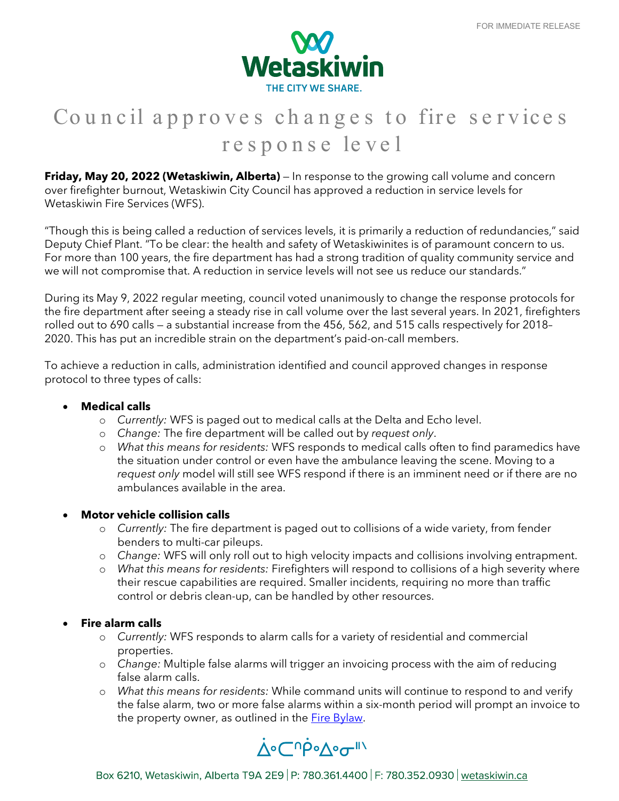

# Council approves changes to fire services response level

**Friday, May 20, 2022 (Wetaskiwin, Alberta)** — In response to the growing call volume and concern over firefighter burnout, Wetaskiwin City Council has approved a reduction in service levels for Wetaskiwin Fire Services (WFS).

"Though this is being called a reduction of services levels, it is primarily a reduction of redundancies," said Deputy Chief Plant. "To be clear: the health and safety of Wetaskiwinites is of paramount concern to us. For more than 100 years, the fire department has had a strong tradition of quality community service and we will not compromise that. A reduction in service levels will not see us reduce our standards."

During its May 9, 2022 regular meeting, council voted unanimously to change the response protocols for the fire department after seeing a steady rise in call volume over the last several years. In 2021, firefighters rolled out to 690 calls — a substantial increase from the 456, 562, and 515 calls respectively for 2018– 2020. This has put an incredible strain on the department's paid-on-call members.

To achieve a reduction in calls, administration identified and council approved changes in response protocol to three types of calls:

## • **Medical calls**

- o *Currently:* WFS is paged out to medical calls at the Delta and Echo level.
- o *Change:* The fire department will be called out by *request only*.
- o *What this means for residents:* WFS responds to medical calls often to find paramedics have the situation under control or even have the ambulance leaving the scene. Moving to a *request only* model will still see WFS respond if there is an imminent need or if there are no ambulances available in the area.

## • **Motor vehicle collision calls**

- o *Currently:* The fire department is paged out to collisions of a wide variety, from fender benders to multi-car pileups.
- o *Change:* WFS will only roll out to high velocity impacts and collisions involving entrapment.
- o *What this means for residents:* Firefighters will respond to collisions of a high severity where their rescue capabilities are required. Smaller incidents, requiring no more than traffic control or debris clean-up, can be handled by other resources.

### • **Fire alarm calls**

- o *Currently:* WFS responds to alarm calls for a variety of residential and commercial properties.
- o *Change:* Multiple false alarms will trigger an invoicing process with the aim of reducing false alarm calls.
- o *What this means for residents:* While command units will continue to respond to and verify the false alarm, two or more false alarms within a six-month period will prompt an invoice to the property owner, as outlined in the **Fire Bylaw**.